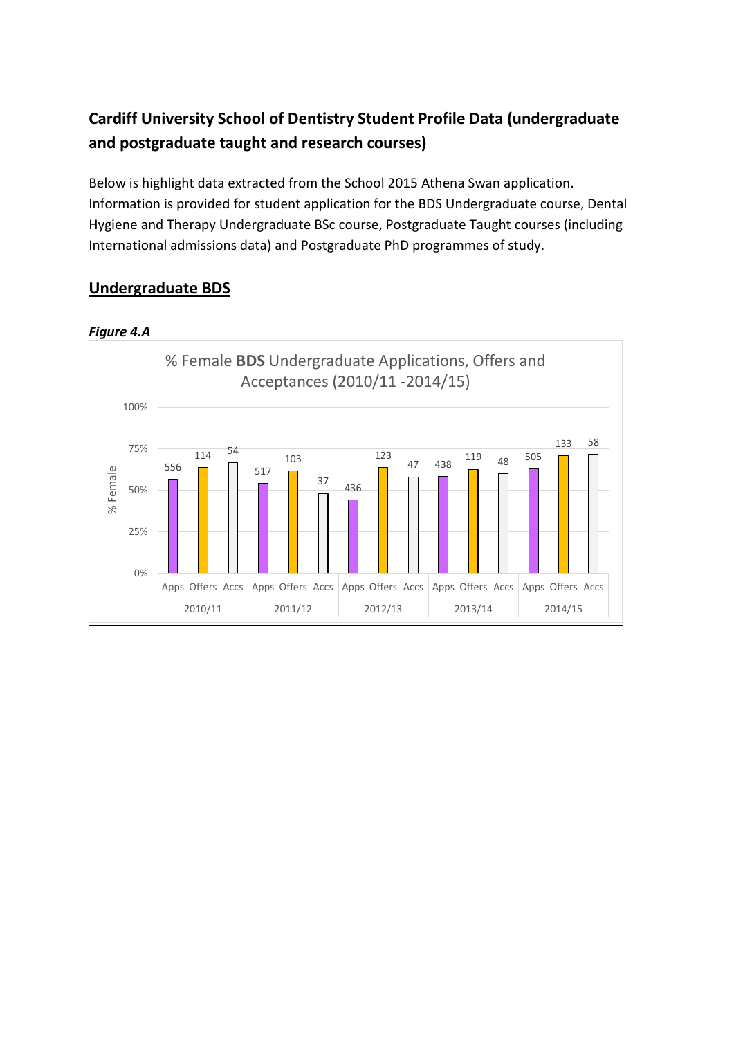# **Cardiff University School of Dentistry Student Profile Data (undergraduate and postgraduate taught and research courses)**

Below is highlight data extracted from the School 2015 Athena Swan application. Information is provided for student application for the BDS Undergraduate course, Dental Hygiene and Therapy Undergraduate BSc course, Postgraduate Taught courses (including International admissions data) and Postgraduate PhD programmes of study.

#### *Figure 4.A*  556 <sup>114</sup> <sup>54</sup> 517 103 <sup>37</sup> <sup>436</sup> 123 47 438 <sup>119</sup> <sup>48</sup> <sup>505</sup> 133 58 0% 25% 50% 75% 100% Apps Offers Accs  $|$  Apps Offers Accs  $|$  Apps Offers Accs  $|$  Apps Offers Accs  $|$  Apps Offers Accs 2010/11 2011/12 2012/13 2013/14 2014/15 % Female % Female **BDS** Undergraduate Applications, Offers and Acceptances (2010/11 -2014/15)

## **Undergraduate BDS**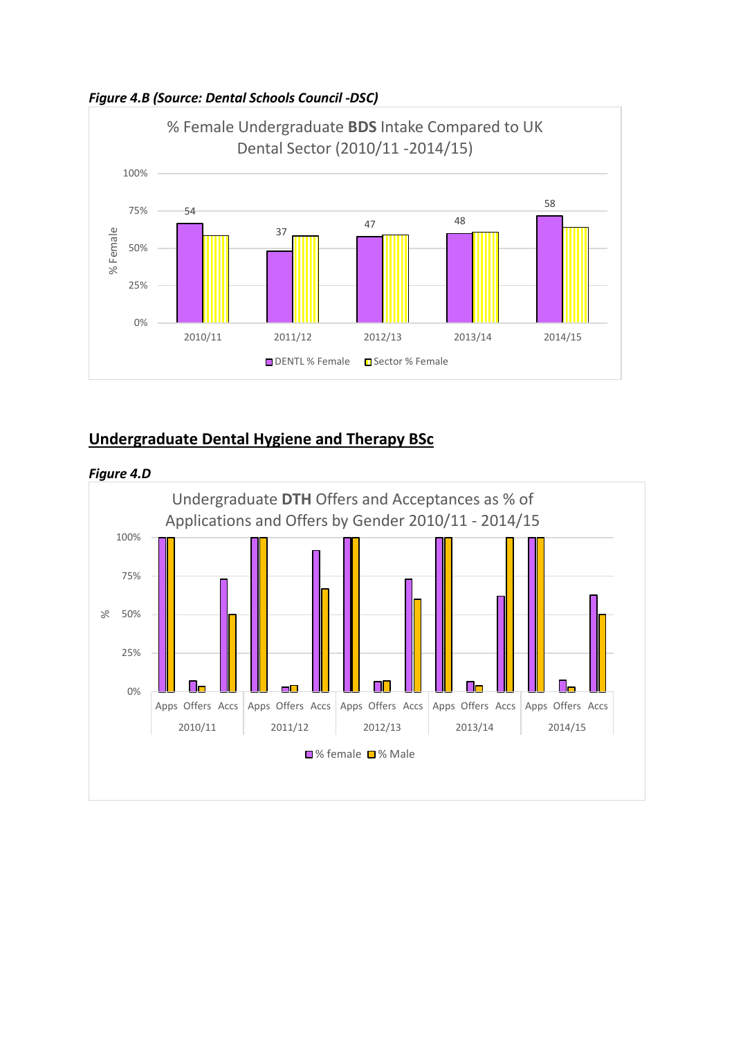



### **Undergraduate Dental Hygiene and Therapy BSc**



*Figure 4.D*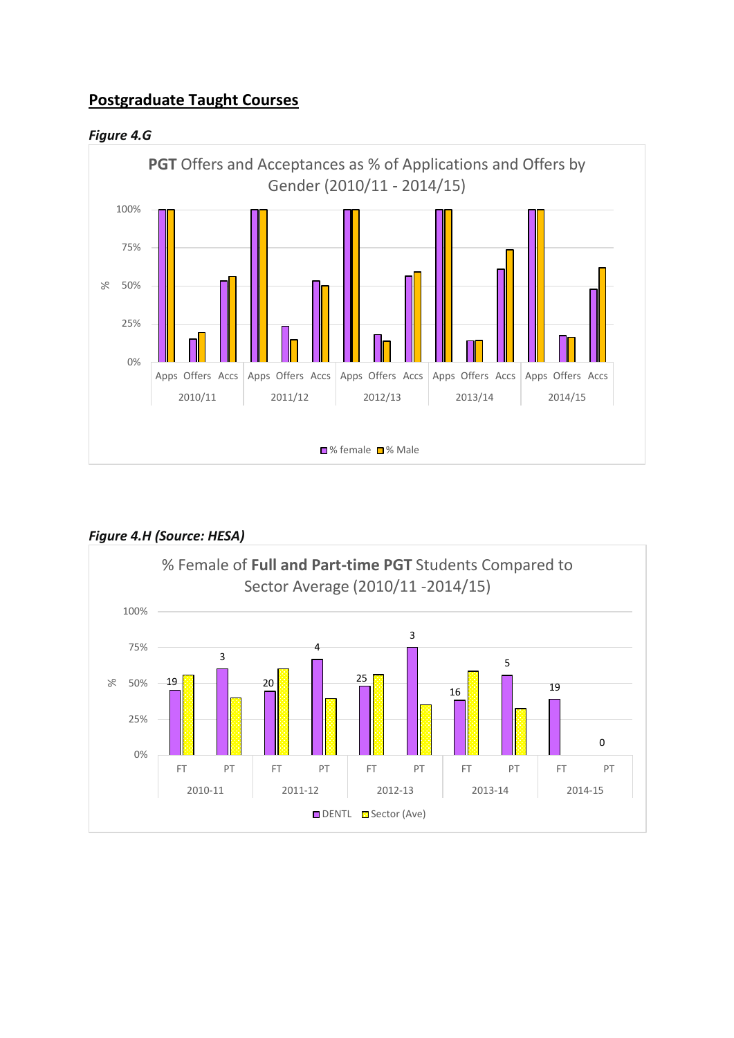# **Postgraduate Taught Courses**

*Figure 4.G*





### *Figure 4.H (Source: HESA)*